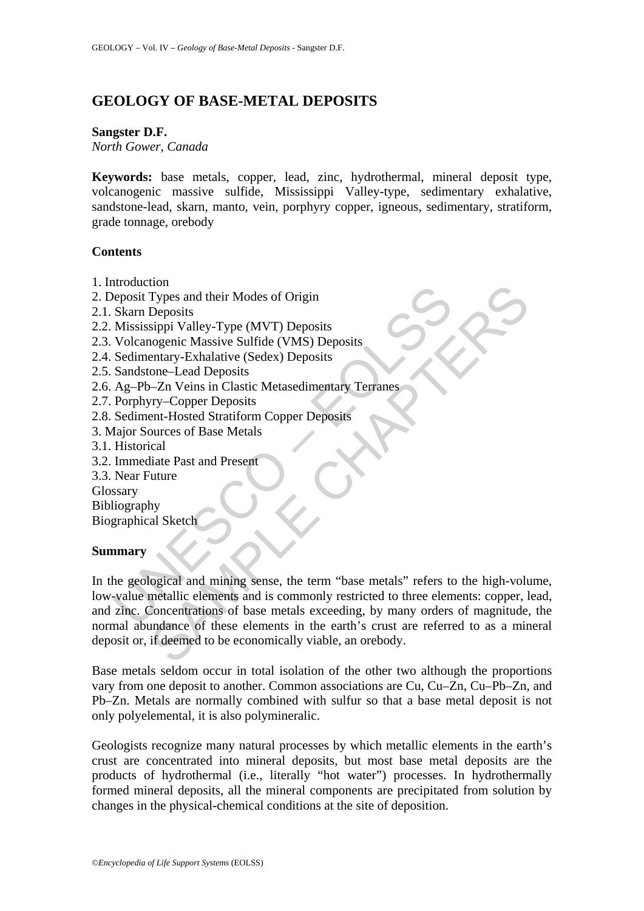# **GEOLOGY OF BASE-METAL DEPOSITS**

### **Sangster D.F.**

*North Gower, Canada* 

**Keywords:** base metals, copper, lead, zinc, hydrothermal, mineral deposit type, volcanogenic massive sulfide, Mississippi Valley-type, sedimentary exhalative, sandstone-lead, skarn, manto, vein, porphyry copper, igneous, sedimentary, stratiform, grade tonnage, orebody

### **Contents**

- 1. Introduction
- 2. Deposit Types and their Modes of Origin
- 2.1. Skarn Deposits
- 2.2. Mississippi Valley-Type (MVT) Deposits
- 2.3. Volcanogenic Massive Sulfide (VMS) Deposits
- 2.4. Sedimentary-Exhalative (Sedex) Deposits
- 2.5. Sandstone–Lead Deposits
- 2.6. Ag–Pb–Zn Veins in Clastic Metasedimentary Terranes
- 2.7. Porphyry–Copper Deposits
- 2.8. Sediment-Hosted Stratiform Copper Deposits
- 3. Major Sources of Base Metals
- 3.1. Historical
- 3.2. Immediate Past and Present
- 3.3. Near Future

Glossary

Bibliography

Biographical Sketch

# **Summary**

Exploration<br>
in the eposit Types and their Modes of Origin<br>
Skarn Deposits<br>
Mississippi Valley-Type (MVT) Deposits<br>
Volcanogenic Massive Sulfide (VMS) Deposits<br>
Scalimentary-Exhalative (Sedex) Deposits<br>
Scaliment-Hosted De The Transition of Origin<br>
Types and their Modes of Origin<br>
Deposits<br>
sigpi Valley-Type (MVT) Deposits<br>
congenic Massive Sulfide (VMS) Deposits<br>
entary-Exhalative (Sedex) Deposits<br>
one-Lead Deposits<br>
one-Lead Deposits<br>
come In the geological and mining sense, the term "base metals" refers to the high-volume, low-value metallic elements and is commonly restricted to three elements: copper, lead, and zinc. Concentrations of base metals exceeding, by many orders of magnitude, the normal abundance of these elements in the earth's crust are referred to as a mineral deposit or, if deemed to be economically viable, an orebody.

Base metals seldom occur in total isolation of the other two although the proportions vary from one deposit to another. Common associations are Cu, Cu–Zn, Cu–Pb–Zn, and Pb–Zn. Metals are normally combined with sulfur so that a base metal deposit is not only polyelemental, it is also polymineralic.

Geologists recognize many natural processes by which metallic elements in the earth's crust are concentrated into mineral deposits, but most base metal deposits are the products of hydrothermal (i.e., literally "hot water") processes. In hydrothermally formed mineral deposits, all the mineral components are precipitated from solution by changes in the physical-chemical conditions at the site of deposition.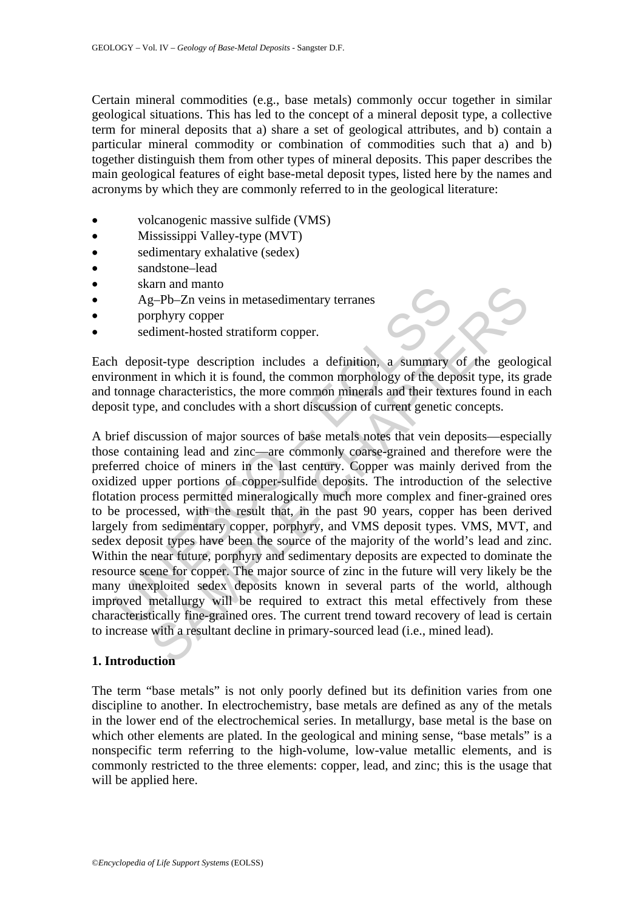Certain mineral commodities (e.g., base metals) commonly occur together in similar geological situations. This has led to the concept of a mineral deposit type, a collective term for mineral deposits that a) share a set of geological attributes, and b) contain a particular mineral commodity or combination of commodities such that a) and b) together distinguish them from other types of mineral deposits. This paper describes the main geological features of eight base-metal deposit types, listed here by the names and acronyms by which they are commonly referred to in the geological literature:

- volcanogenic massive sulfide (VMS)
- Mississippi Valley-type (MVT)
- sedimentary exhalative (sedex)
- sandstone–lead
- skarn and manto
- Ag–Pb–Zn veins in metasedimentary terranes
- porphyry copper
- sediment-hosted stratiform copper.

Each deposit-type description includes a definition, a summary of the geological environment in which it is found, the common morphology of the deposit type, its grade and tonnage characteristics, the more common minerals and their textures found in each deposit type, and concludes with a short discussion of current genetic concepts.

Solution and manio Ag-Db-Zn veins in metasedimentary terranes<br>
Ag-Db-Zn veins in metasedimentary terranes<br>
porphyry copper<br>
sediment-hosted stratiform copper.<br>
In deposit-type description includes a definition, a summary<br> SAMPLE CHAPTERS A brief discussion of major sources of base metals notes that vein deposits—especially those containing lead and zinc—are commonly coarse-grained and therefore were the preferred choice of miners in the last century. Copper was mainly derived from the oxidized upper portions of copper-sulfide deposits. The introduction of the selective flotation process permitted mineralogically much more complex and finer-grained ores to be processed, with the result that, in the past 90 years, copper has been derived largely from sedimentary copper, porphyry, and VMS deposit types. VMS, MVT, and sedex deposit types have been the source of the majority of the world's lead and zinc. Within the near future, porphyry and sedimentary deposits are expected to dominate the resource scene for copper. The major source of zinc in the future will very likely be the many unexploited sedex deposits known in several parts of the world, although improved metallurgy will be required to extract this metal effectively from these characteristically fine-grained ores. The current trend toward recovery of lead is certain to increase with a resultant decline in primary-sourced lead (i.e., mined lead).

#### **1. Introduction**

The term "base metals" is not only poorly defined but its definition varies from one discipline to another. In electrochemistry, base metals are defined as any of the metals in the lower end of the electrochemical series. In metallurgy, base metal is the base on which other elements are plated. In the geological and mining sense, "base metals" is a nonspecific term referring to the high-volume, low-value metallic elements, and is commonly restricted to the three elements: copper, lead, and zinc; this is the usage that will be applied here.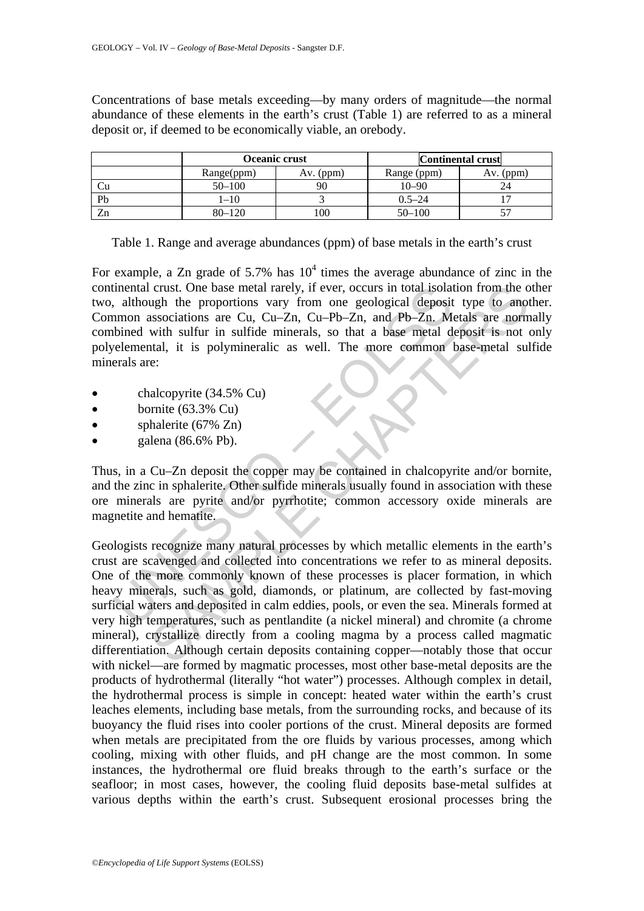Concentrations of base metals exceeding—by many orders of magnitude—the normal abundance of these elements in the earth's crust (Table 1) are referred to as a mineral deposit or, if deemed to be economically viable, an orebody.

|    | Oceanic crust |             | <b>Continental crust</b> |           |
|----|---------------|-------------|--------------------------|-----------|
|    | Range(ppm)    | $Av.$ (ppm) | Range (ppm)              | Av. (ppm) |
|    | $50 - 100$    |             | $10 - 90$                |           |
| Pb | $-10$         |             | $0.5 - 24$               |           |
| Zn | $80 - 120$    | 00          | $50 - 100$               |           |

Table 1. Range and average abundances (ppm) of base metals in the earth's crust

For example, a Zn grade of 5.7% has  $10^4$  times the average abundance of zinc in the continental crust. One base metal rarely, if ever, occurs in total isolation from the other two, although the proportions vary from one geological deposit type to another. Common associations are Cu, Cu–Zn, Cu–Pb–Zn, and Pb–Zn. Metals are normally combined with sulfur in sulfide minerals, so that a base metal deposit is not only polyelemental, it is polymineralic as well. The more common base-metal sulfide minerals are:

- chalcopyrite (34.5% Cu)
- bornite  $(63.3\% \text{ Cu})$
- sphalerite (67% Zn)
- galena (86.6% Pb).

Thus, in a Cu–Zn deposit the copper may be contained in chalcopyrite and/or bornite, and the zinc in sphalerite. Other sulfide minerals usually found in association with these ore minerals are pyrite and/or pyrrhotite; common accessory oxide minerals are magnetite and hematite.

inental crust. One base metal rarely, if ever, occurs in total isolat<br>
athough the proportions vary from one geological deposit<br>
athounon associations are Cu, Cu-Zn, Cu-Pb-Zn, and Pb-Zn. M<br>
blined with sulfur in sulfide m crust. One base metal rarely, if ever, occurs in total isolation from the combinations vary from one geological deposit type to anotassociations are Cu, Cu-Zn, Cu-Pb-Zn, and Pb-Zn. Metals are norm with sulfur in sulfide mi Geologists recognize many natural processes by which metallic elements in the earth's crust are scavenged and collected into concentrations we refer to as mineral deposits. One of the more commonly known of these processes is placer formation, in which heavy minerals, such as gold, diamonds, or platinum, are collected by fast-moving surficial waters and deposited in calm eddies, pools, or even the sea. Minerals formed at very high temperatures, such as pentlandite (a nickel mineral) and chromite (a chrome mineral), crystallize directly from a cooling magma by a process called magmatic differentiation. Although certain deposits containing copper—notably those that occur with nickel—are formed by magmatic processes, most other base-metal deposits are the products of hydrothermal (literally "hot water") processes. Although complex in detail, the hydrothermal process is simple in concept: heated water within the earth's crust leaches elements, including base metals, from the surrounding rocks, and because of its buoyancy the fluid rises into cooler portions of the crust. Mineral deposits are formed when metals are precipitated from the ore fluids by various processes, among which cooling, mixing with other fluids, and pH change are the most common. In some instances, the hydrothermal ore fluid breaks through to the earth's surface or the seafloor; in most cases, however, the cooling fluid deposits base-metal sulfides at various depths within the earth's crust. Subsequent erosional processes bring the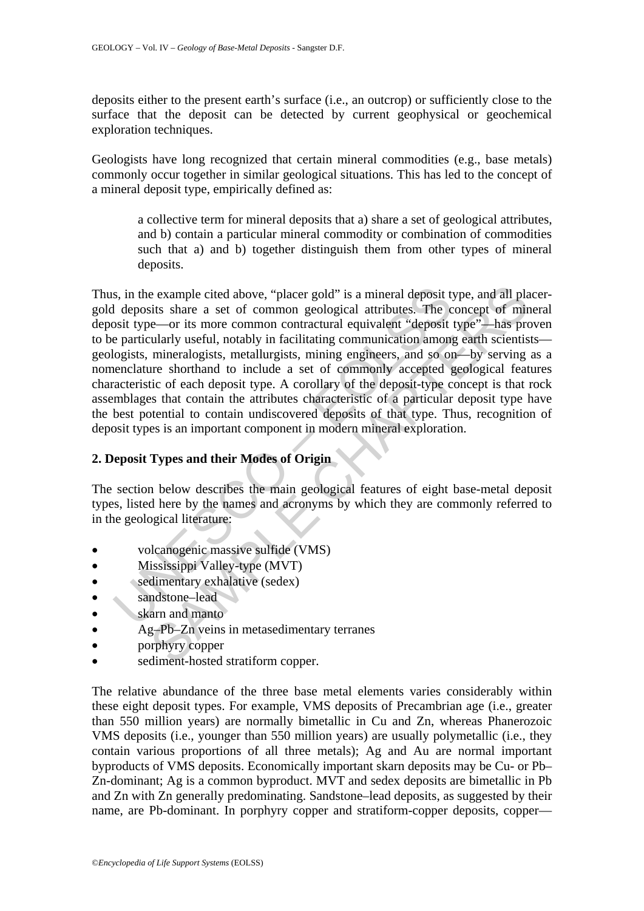deposits either to the present earth's surface (i.e., an outcrop) or sufficiently close to the surface that the deposit can be detected by current geophysical or geochemical exploration techniques.

Geologists have long recognized that certain mineral commodities (e.g., base metals) commonly occur together in similar geological situations. This has led to the concept of a mineral deposit type, empirically defined as:

a collective term for mineral deposits that a) share a set of geological attributes, and b) contain a particular mineral commodity or combination of commodities such that a) and b) together distinguish them from other types of mineral deposits.

s, in the example cited above, "placer gold" is a mineral deposit the deposits share a set of common geological attributes. The cosit type—or its more common contractural equivalent "deposit" equivalent the particularly us e example cited above, "placer gold" is a mineral deposit type, and all plaits share a set of common geological attributes. The concept of mir-<br>
simularity share a set of common contactural equivalent "deposit type"—has pr Thus, in the example cited above, "placer gold" is a mineral deposit type, and all placergold deposits share a set of common geological attributes. The concept of mineral deposit type—or its more common contractural equivalent "deposit type"—has proven to be particularly useful, notably in facilitating communication among earth scientists geologists, mineralogists, metallurgists, mining engineers, and so on—by serving as a nomenclature shorthand to include a set of commonly accepted geological features characteristic of each deposit type. A corollary of the deposit-type concept is that rock assemblages that contain the attributes characteristic of a particular deposit type have the best potential to contain undiscovered deposits of that type. Thus, recognition of deposit types is an important component in modern mineral exploration.

# **2. Deposit Types and their Modes of Origin**

The section below describes the main geological features of eight base-metal deposit types, listed here by the names and acronyms by which they are commonly referred to in the geological literature:

- volcanogenic massive sulfide (VMS)
- Mississippi Valley-type (MVT)
- sedimentary exhalative (sedex)
- sandstone–lead
- skarn and manto
- Ag–Pb–Zn veins in metasedimentary terranes
- porphyry copper
- sediment-hosted stratiform copper.

The relative abundance of the three base metal elements varies considerably within these eight deposit types. For example, VMS deposits of Precambrian age (i.e., greater than 550 million years) are normally bimetallic in Cu and Zn, whereas Phanerozoic VMS deposits (i.e., younger than 550 million years) are usually polymetallic (i.e., they contain various proportions of all three metals); Ag and Au are normal important byproducts of VMS deposits. Economically important skarn deposits may be Cu- or Pb– Zn-dominant; Ag is a common byproduct. MVT and sedex deposits are bimetallic in Pb and Zn with Zn generally predominating. Sandstone–lead deposits, as suggested by their name, are Pb-dominant. In porphyry copper and stratiform-copper deposits, copper—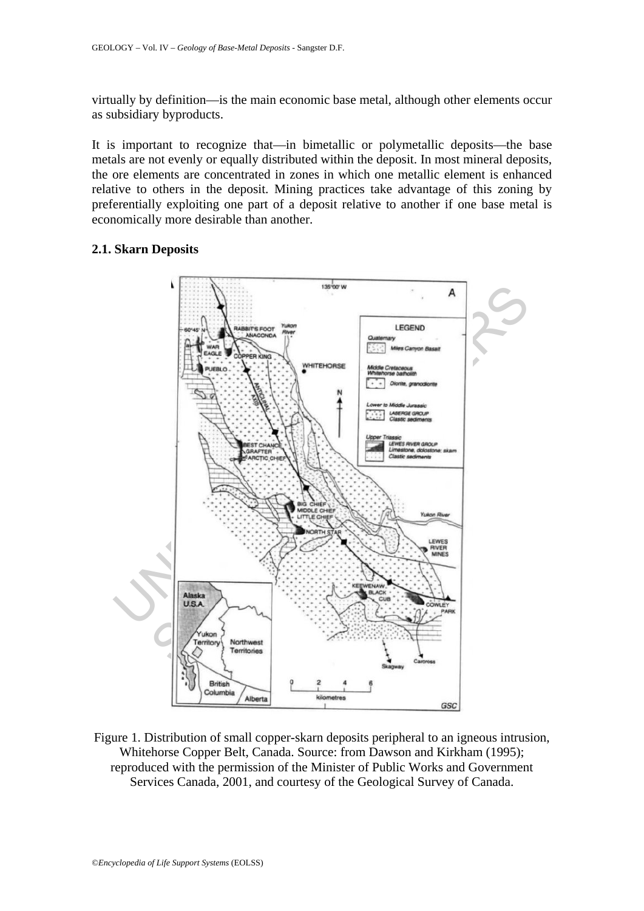virtually by definition—is the main economic base metal, although other elements occur as subsidiary byproducts.

It is important to recognize that—in bimetallic or polymetallic deposits—the base metals are not evenly or equally distributed within the deposit. In most mineral deposits, the ore elements are concentrated in zones in which one metallic element is enhanced relative to others in the deposit. Mining practices take advantage of this zoning by preferentially exploiting one part of a deposit relative to another if one base metal is economically more desirable than another.

#### **2.1. Skarn Deposits**



Figure 1. Distribution of small copper-skarn deposits peripheral to an igneous intrusion, Whitehorse Copper Belt, Canada. Source: from Dawson and Kirkham (1995); reproduced with the permission of the Minister of Public Works and Government Services Canada, 2001, and courtesy of the Geological Survey of Canada.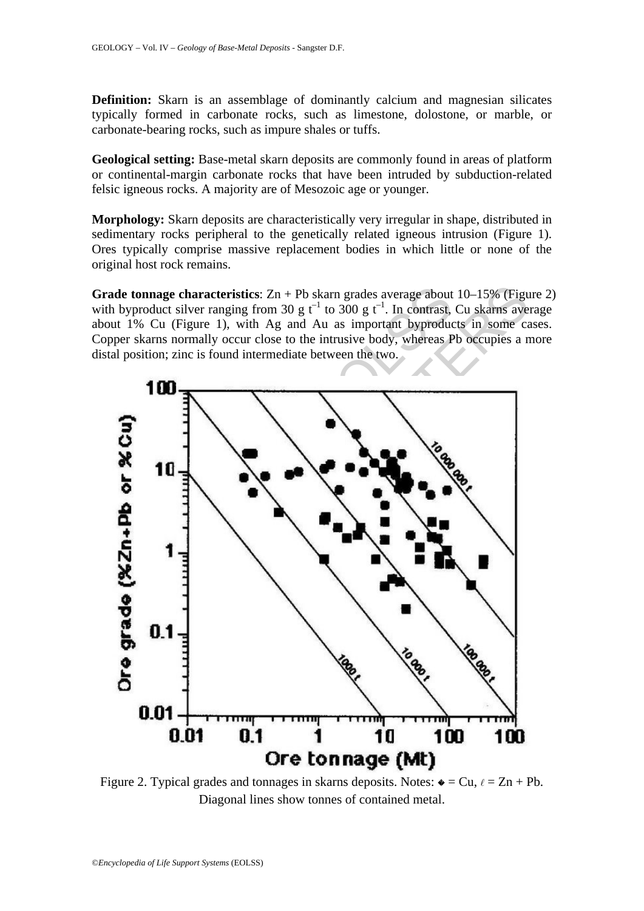**Definition:** Skarn is an assemblage of dominantly calcium and magnesian silicates typically formed in carbonate rocks, such as limestone, dolostone, or marble, or carbonate-bearing rocks, such as impure shales or tuffs.

**Geological setting:** Base-metal skarn deposits are commonly found in areas of platform or continental-margin carbonate rocks that have been intruded by subduction-related felsic igneous rocks. A majority are of Mesozoic age or younger.

**Morphology:** Skarn deposits are characteristically very irregular in shape, distributed in sedimentary rocks peripheral to the genetically related igneous intrusion (Figure 1). Ores typically comprise massive replacement bodies in which little or none of the original host rock remains.

**Grade tonnage characteristics**: Zn + Pb skarn grades average about 10–15% (Figure 2) with byproduct silver ranging from 30 g  $t^{-1}$  to 300 g  $t^{-1}$ . In contrast, Cu skarns average about 1% Cu (Figure 1), with Ag and Au as important byproducts in some cases. Copper skarns normally occur close to the intrusive body, whereas Pb occupies a more distal position; zinc is found intermediate between the two.



Figure 2. Typical grades and tonnages in skarns deposits. Notes:  $\bullet = Cu, \ell = Zn + Pb$ . Diagonal lines show tonnes of contained metal.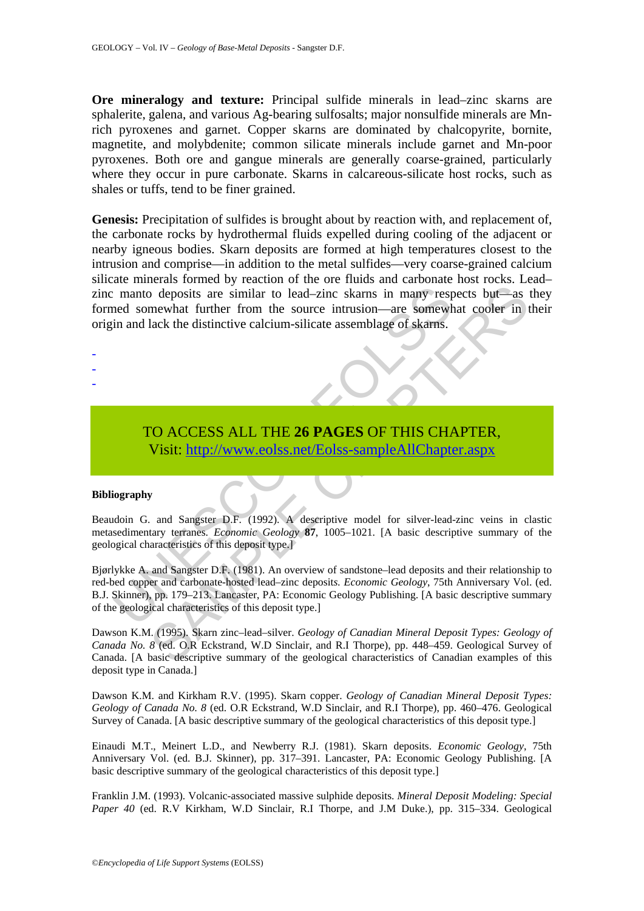**Ore mineralogy and texture:** Principal sulfide minerals in lead–zinc skarns are sphalerite, galena, and various Ag-bearing sulfosalts; major nonsulfide minerals are Mnrich pyroxenes and garnet. Copper skarns are dominated by chalcopyrite, bornite, magnetite, and molybdenite; common silicate minerals include garnet and Mn-poor pyroxenes. Both ore and gangue minerals are generally coarse-grained, particularly where they occur in pure carbonate. Skarns in calcareous-silicate host rocks, such as shales or tuffs, tend to be finer grained.

**Genesis:** Precipitation of sulfides is brought about by reaction with, and replacement of, the carbonate rocks by hydrothermal fluids expelled during cooling of the adjacent or nearby igneous bodies. Skarn deposits are formed at high temperatures closest to the intrusion and comprise—in addition to the metal sulfides—very coarse-grained calcium silicate minerals formed by reaction of the ore fluids and carbonate host rocks. Lead– zinc manto deposits are similar to lead–zinc skarns in many respects but—as they formed somewhat further from the source intrusion—are somewhat cooler in their origin and lack the distinctive calcium-silicate assemblage of skarns.

> TO ACCESS ALL THE **26 PAGES** OF THIS CHAPTER, Visit: http://www.eolss.net/Eolss-sampleAllChapter.aspx

#### **Bibliography**

- - -

Beaudoin G. and Sangster D.F. (1992). A descriptive model for silver-lead-zinc veins in clastic metasedimentary terranes. *Economic Geology* **87**, 1005–1021. [A basic descriptive summary of the geological characteristics of this deposit type.]

manto deposits are similar to lead-zinc skarns in many respected somewhat further from the source intrusion—are somewhin and lack the distinctive calcium-silicate assemblage of skarns.<br>
TO ACCESS ALL THE 26 PAGES OF THIS C The positive service is the comparison of the conduct of the comparison of the comparison of the comparison of the comparison of the distinctive calcium-silicate assemblage of skams.<br>
The distinctive calcium-silicate assem Bjørlykke A. and Sangster D.F. (1981). An overview of sandstone–lead deposits and their relationship to red-bed copper and carbonate-hosted lead–zinc deposit*s. Economic Geology*, 75th Anniversary Vol. (ed. B.J. Skinner), pp. 179–213. Lancaster, PA: Economic Geology Publishing. [A basic descriptive summary of the geological characteristics of this deposit type.]

Dawson K.M. (1995). Skarn zinc–lead–silver. *Geology of Canadian Mineral Deposit Types: Geology of Canada No. 8* (ed. O.R Eckstrand, W.D Sinclair, and R.I Thorpe), pp. 448–459. Geological Survey of Canada. [A basic descriptive summary of the geological characteristics of Canadian examples of this deposit type in Canada.]

Dawson K.M. and Kirkham R.V. (1995). Skarn copper. *Geology of Canadian Mineral Deposit Types: Geology of Canada No. 8* (ed. O.R Eckstrand, W.D Sinclair, and R.I Thorpe), pp. 460–476. Geological Survey of Canada. [A basic descriptive summary of the geological characteristics of this deposit type.]

Einaudi M.T., Meinert L.D., and Newberry R.J. (1981). Skarn deposits. *Economic Geology*, 75th Anniversary Vol. (ed. B.J. Skinner), pp. 317–391. Lancaster, PA: Economic Geology Publishing. [A basic descriptive summary of the geological characteristics of this deposit type.]

Franklin J.M. (1993). Volcanic-associated massive sulphide deposits. *Mineral Deposit Modeling: Special Paper 40* (ed. R.V Kirkham, W.D Sinclair, R.I Thorpe, and J.M Duke.), pp. 315–334. Geological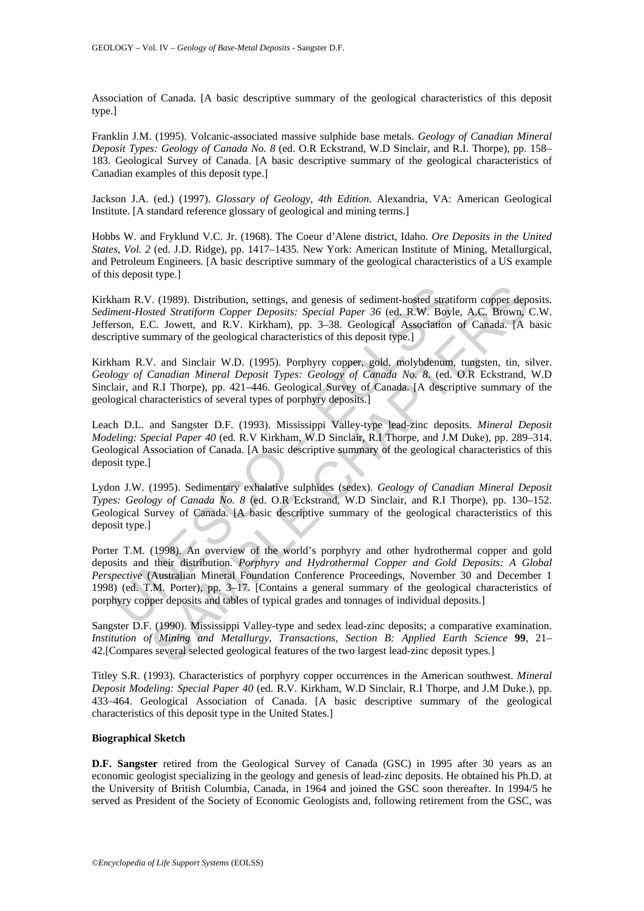Association of Canada. [A basic descriptive summary of the geological characteristics of this deposit type.]

Franklin J.M. (1995). Volcanic-associated massive sulphide base metals. *Geology of Canadian Mineral Deposit Types: Geology of Canada No. 8* (ed. O.R Eckstrand, W.D Sinclair, and R.I. Thorpe)*,* pp. 158– 183. Geological Survey of Canada. [A basic descriptive summary of the geological characteristics of Canadian examples of this deposit type.]

Jackson J.A. (ed.) (1997). *Glossary of Geology, 4th Edition*. Alexandria, VA: American Geological Institute. [A standard reference glossary of geological and mining terms.]

Hobbs W. and Fryklund V.C. Jr. (1968). The Coeur d'Alene district, Idaho*. Ore Deposits in the United States*, *Vol. 2* (ed. J.D. Ridge), pp. 1417–1435. New York: American Institute of Mining, Metallurgical, and Petroleum Engineers. [A basic descriptive summary of the geological characteristics of a US example of this deposit type.]

Kirkham R.V. (1989). Distribution, settings, and genesis of sediment-hosted stratiform copper deposits. *Sediment-Hosted Stratiform Copper Deposits: Special Paper 36* (ed. R.W. Boyle, A.C. Brown, C.W. Jefferson, E.C. Jowett, and R.V. Kirkham), pp. 3–38. Geological Association of Canada. [A basic descriptive summary of the geological characteristics of this deposit type.]

Kirkham R.V. and Sinclair W.D. (1995). Porphyry copper, gold, molybdenum, tungsten, tin, silver. *Geology of Canadian Mineral Deposit Types: Geology of Canada No. 8*. (ed. O.R Eckstrand, W.D Sinclair, and R.I Thorpe), pp. 421–446. Geological Survey of Canada. [A descriptive summary of the geological characteristics of several types of porphyry deposits.]

Leach D.L. and Sangster D.F. (1993). Mississippi Valley-type lead-zinc deposits. *Mineral Deposit Modeling: Special Paper 40* (ed. R.V Kirkham, W.D Sinclair, R.I Thorpe, and J.M Duke), pp. 289–314. Geological Association of Canada. [A basic descriptive summary of the geological characteristics of this deposit type.]

Lydon J.W. (1995). Sedimentary exhalative sulphides (sedex). *Geology of Canadian Mineral Deposit Types: Geology of Canada No. 8* (ed. O.R Eckstrand, W.D Sinclair, and R.I Thorpe), pp. 130–152. Geological Survey of Canada. [A basic descriptive summary of the geological characteristics of this deposit type.]

ham R.V. (1989). Distribution, settings, and genesis of sediment-hosted stratemt-Hosted Stratiform Copper Deposits: Special Paper 36 (ed. R.W. Boyl<br>rson, E.C. Jowett, and R.V. Kirkham). pp. 3-38. Geological Association<br>rip *l*. (1989). Distribution, settings, and genesis of sediment-hosted stratiform copper deperd Stratiform Copper Deposits: Special Paper 36 (ed. R.W. Boyle, A.C. Brown, C. Jovett, and R.V. Kirkham, pp. 3-38. Geological Asso Porter T.M. (1998). An overview of the world's porphyry and other hydrothermal copper and gold deposits and their distribution. *Porphyry and Hydrothermal Copper and Gold Deposits: A Global Perspective* (Australian Mineral Foundation Conference Proceedings, November 30 and December 1 1998) (ed. T.M. Porter), pp. 3–17. [Contains a general summary of the geological characteristics of porphyry copper deposits and tables of typical grades and tonnages of individual deposits.

Sangster D.F. (1990). Mississippi Valley-type and sedex lead-zinc deposits; a comparative examination. *Institution of Mining and Metallurgy, Transactions, Section B: Applied Earth Science* **99**, 21– 42.[Compares several selected geological features of the two largest lead-zinc deposit types.]

Titley S.R. (1993). Characteristics of porphyry copper occurrences in the American southwest. *Mineral Deposit Modeling: Special Paper 40* (ed. R.V. Kirkham, W.D Sinclair, R.I Thorpe, and J.M Duke.), pp. 433–464. Geological Association of Canada. [A basic descriptive summary of the geological characteristics of this deposit type in the United States.]

#### **Biographical Sketch**

**D.F. Sangster** retired from the Geological Survey of Canada (GSC) in 1995 after 30 years as an economic geologist specializing in the geology and genesis of lead-zinc deposits. He obtained his Ph.D. at the University of British Columbia, Canada, in 1964 and joined the GSC soon thereafter. In 1994/5 he served as President of the Society of Economic Geologists and, following retirement from the GSC, was